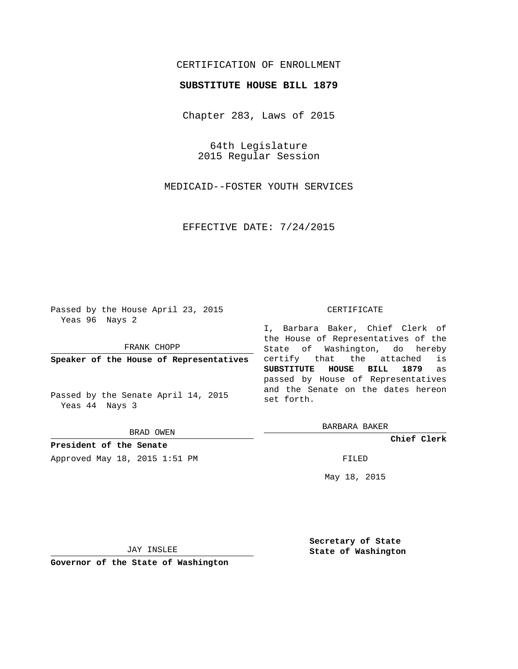## CERTIFICATION OF ENROLLMENT

### **SUBSTITUTE HOUSE BILL 1879**

Chapter 283, Laws of 2015

64th Legislature 2015 Regular Session

MEDICAID--FOSTER YOUTH SERVICES

EFFECTIVE DATE: 7/24/2015

Passed by the House April 23, 2015 Yeas 96 Nays 2

FRANK CHOPP

**Speaker of the House of Representatives**

Passed by the Senate April 14, 2015 Yeas 44 Nays 3

BRAD OWEN

**President of the Senate** Approved May 18, 2015 1:51 PM FILED

#### CERTIFICATE

I, Barbara Baker, Chief Clerk of the House of Representatives of the State of Washington, do hereby certify that the attached is **SUBSTITUTE HOUSE BILL 1879** as passed by House of Representatives and the Senate on the dates hereon set forth.

BARBARA BAKER

**Chief Clerk**

May 18, 2015

JAY INSLEE

**Governor of the State of Washington**

**Secretary of State State of Washington**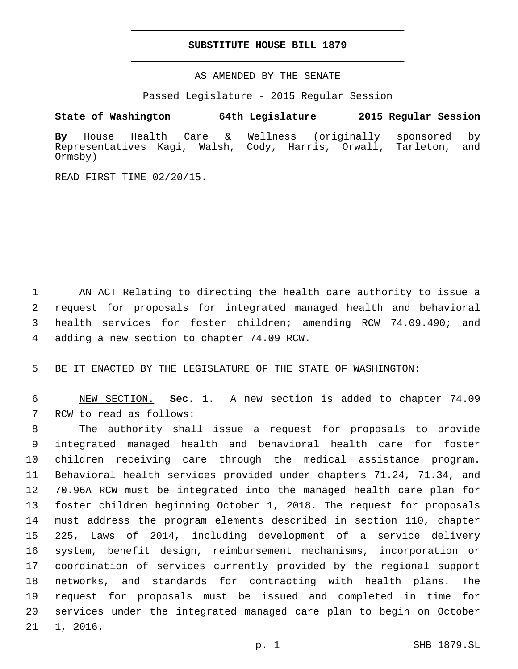### **SUBSTITUTE HOUSE BILL 1879**

AS AMENDED BY THE SENATE

Passed Legislature - 2015 Regular Session

# **State of Washington 64th Legislature 2015 Regular Session**

**By** House Health Care & Wellness (originally sponsored by Representatives Kagi, Walsh, Cody, Harris, Orwall, Tarleton, and Ormsby)

READ FIRST TIME 02/20/15.

 AN ACT Relating to directing the health care authority to issue a request for proposals for integrated managed health and behavioral health services for foster children; amending RCW 74.09.490; and 4 adding a new section to chapter 74.09 RCW.

5 BE IT ENACTED BY THE LEGISLATURE OF THE STATE OF WASHINGTON:

6 NEW SECTION. **Sec. 1.** A new section is added to chapter 74.09 7 RCW to read as follows:

 The authority shall issue a request for proposals to provide integrated managed health and behavioral health care for foster children receiving care through the medical assistance program. Behavioral health services provided under chapters 71.24, 71.34, and 70.96A RCW must be integrated into the managed health care plan for foster children beginning October 1, 2018. The request for proposals must address the program elements described in section 110, chapter 225, Laws of 2014, including development of a service delivery system, benefit design, reimbursement mechanisms, incorporation or coordination of services currently provided by the regional support networks, and standards for contracting with health plans. The request for proposals must be issued and completed in time for services under the integrated managed care plan to begin on October 21 1, 2016.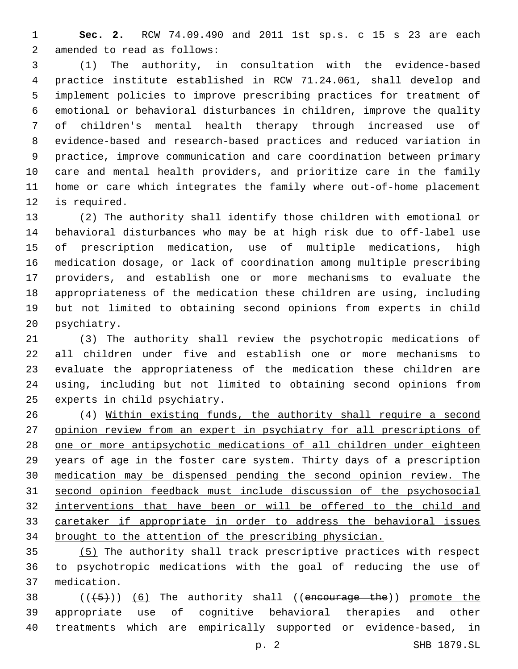**Sec. 2.** RCW 74.09.490 and 2011 1st sp.s. c 15 s 23 are each 2 amended to read as follows:

 (1) The authority, in consultation with the evidence-based practice institute established in RCW 71.24.061, shall develop and implement policies to improve prescribing practices for treatment of emotional or behavioral disturbances in children, improve the quality of children's mental health therapy through increased use of evidence-based and research-based practices and reduced variation in practice, improve communication and care coordination between primary care and mental health providers, and prioritize care in the family home or care which integrates the family where out-of-home placement 12 is required.

 (2) The authority shall identify those children with emotional or behavioral disturbances who may be at high risk due to off-label use of prescription medication, use of multiple medications, high medication dosage, or lack of coordination among multiple prescribing providers, and establish one or more mechanisms to evaluate the appropriateness of the medication these children are using, including but not limited to obtaining second opinions from experts in child 20 psychiatry.

 (3) The authority shall review the psychotropic medications of all children under five and establish one or more mechanisms to evaluate the appropriateness of the medication these children are using, including but not limited to obtaining second opinions from 25 experts in child psychiatry.

 (4) Within existing funds, the authority shall require a second opinion review from an expert in psychiatry for all prescriptions of one or more antipsychotic medications of all children under eighteen years of age in the foster care system. Thirty days of a prescription medication may be dispensed pending the second opinion review. The second opinion feedback must include discussion of the psychosocial interventions that have been or will be offered to the child and caretaker if appropriate in order to address the behavioral issues brought to the attention of the prescribing physician.

 (5) The authority shall track prescriptive practices with respect to psychotropic medications with the goal of reducing the use of medication.37

38  $((+5+))$   $(6)$  The authority shall ((encourage the)) promote the 39 appropriate use of cognitive behavioral therapies and other treatments which are empirically supported or evidence-based, in